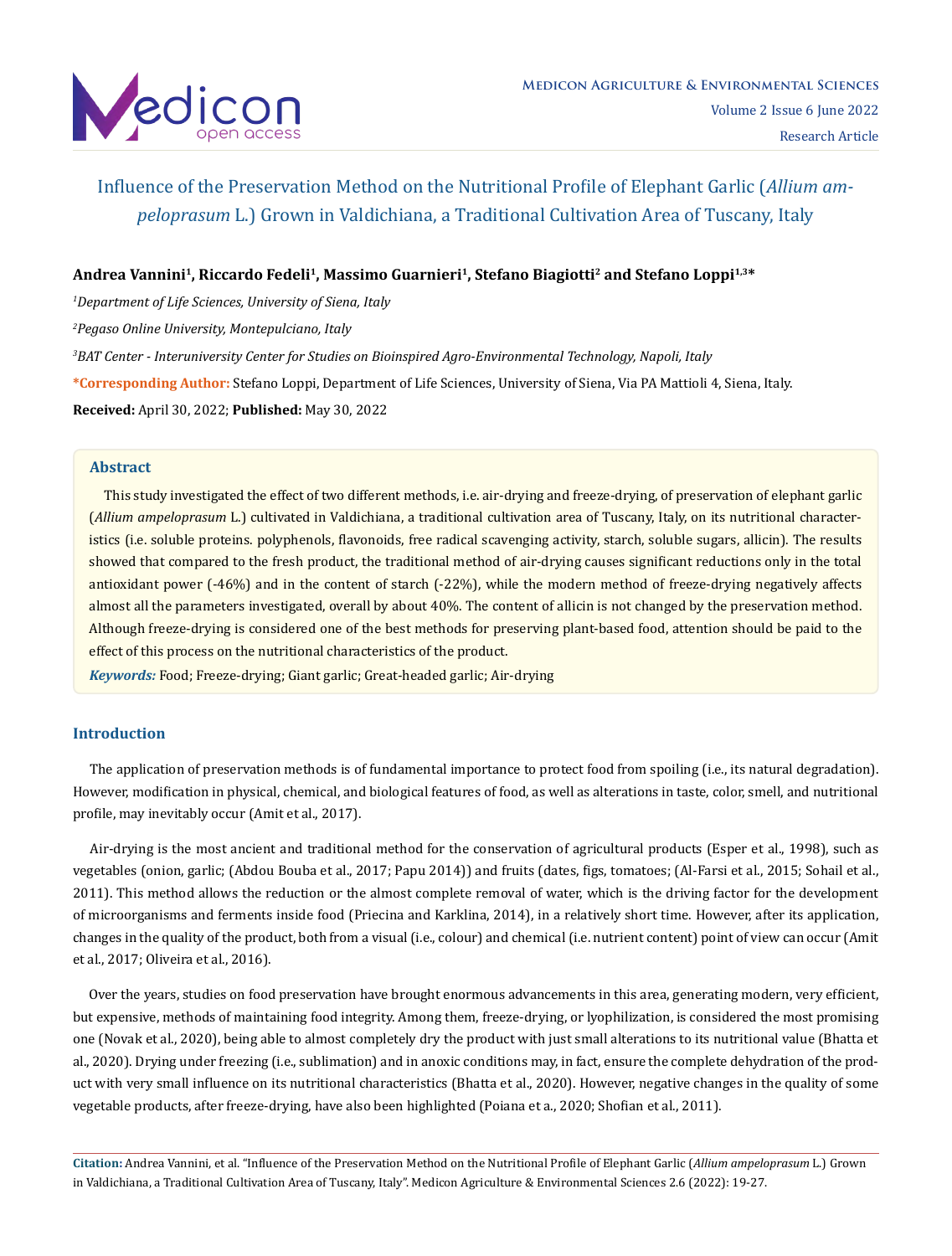

# **Andrea Vannini1, Riccardo Fedeli1, Massimo Guarnieri1, Stefano Biagiotti2 and Stefano Loppi1,3\***

*1 Department of Life Sciences, University of Siena, Italy*

*2 Pegaso Online University, Montepulciano, Italy*

*3 BAT Center - Interuniversity Center for Studies on Bioinspired Agro-Environmental Technology, Napoli, Italy*

**\*Corresponding Author:** Stefano Loppi, Department of Life Sciences, University of Siena, Via PA Mattioli 4, Siena, Italy.

**Received:** April 30, 2022; **Published:** May 30, 2022

### **Abstract**

 This study investigated the effect of two different methods, i.e. air-drying and freeze-drying, of preservation of elephant garlic (*Allium ampeloprasum* L.) cultivated in Valdichiana, a traditional cultivation area of Tuscany, Italy, on its nutritional characteristics (i.e. soluble proteins. polyphenols, flavonoids, free radical scavenging activity, starch, soluble sugars, allicin). The results showed that compared to the fresh product, the traditional method of air-drying causes significant reductions only in the total antioxidant power (-46%) and in the content of starch (-22%), while the modern method of freeze-drying negatively affects almost all the parameters investigated, overall by about 40%. The content of allicin is not changed by the preservation method. Although freeze-drying is considered one of the best methods for preserving plant-based food, attention should be paid to the effect of this process on the nutritional characteristics of the product.

*Keywords:* Food; Freeze-drying; Giant garlic; Great-headed garlic; Air-drying

# **Introduction**

 The application of preservation methods is of fundamental importance to protect food from spoiling (i.e., its natural degradation). However, modification in physical, chemical, and biological features of food, as well as alterations in taste, color, smell, and nutritional profile, may inevitably occur (Amit et al., 2017).

 Air-drying is the most ancient and traditional method for the conservation of agricultural products (Esper et al., 1998), such as vegetables (onion, garlic; (Abdou Bouba et al., 2017; Papu 2014)) and fruits (dates, figs, tomatoes; (Al-Farsi et al., 2015; Sohail et al., 2011). This method allows the reduction or the almost complete removal of water, which is the driving factor for the development of microorganisms and ferments inside food (Priecina and Karklina, 2014), in a relatively short time. However, after its application, changes in the quality of the product, both from a visual (i.e., colour) and chemical (i.e. nutrient content) point of view can occur (Amit et al., 2017; Oliveira et al., 2016).

 Over the years, studies on food preservation have brought enormous advancements in this area, generating modern, very efficient, but expensive, methods of maintaining food integrity. Among them, freeze-drying, or lyophilization, is considered the most promising one (Novak et al., 2020), being able to almost completely dry the product with just small alterations to its nutritional value (Bhatta et al., 2020). Drying under freezing (i.e., sublimation) and in anoxic conditions may, in fact, ensure the complete dehydration of the product with very small influence on its nutritional characteristics (Bhatta et al., 2020). However, negative changes in the quality of some vegetable products, after freeze-drying, have also been highlighted (Poiana et a., 2020; Shofian et al., 2011).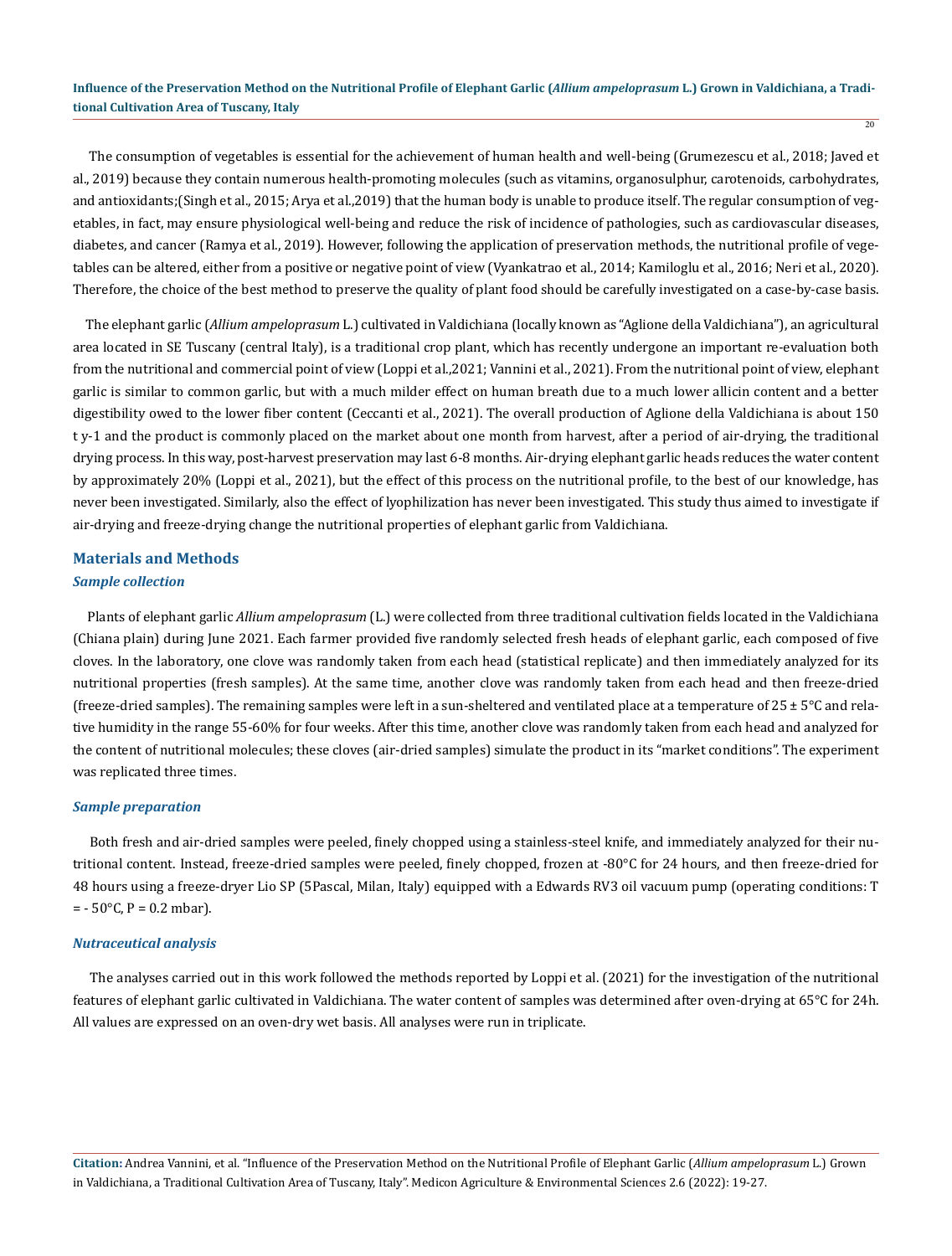$\overline{20}$ 

 The consumption of vegetables is essential for the achievement of human health and well-being (Grumezescu et al., 2018; Javed et al., 2019) because they contain numerous health-promoting molecules (such as vitamins, organosulphur, carotenoids, carbohydrates, and antioxidants;(Singh et al., 2015; Arya et al.,2019) that the human body is unable to produce itself. The regular consumption of vegetables, in fact, may ensure physiological well-being and reduce the risk of incidence of pathologies, such as cardiovascular diseases, diabetes, and cancer (Ramya et al., 2019). However, following the application of preservation methods, the nutritional profile of vegetables can be altered, either from a positive or negative point of view (Vyankatrao et al., 2014; Kamiloglu et al., 2016; Neri et al., 2020). Therefore, the choice of the best method to preserve the quality of plant food should be carefully investigated on a case-by-case basis.

 The elephant garlic (*Allium ampeloprasum* L.) cultivated in Valdichiana (locally known as "Aglione della Valdichiana"), an agricultural area located in SE Tuscany (central Italy), is a traditional crop plant, which has recently undergone an important re-evaluation both from the nutritional and commercial point of view (Loppi et al.,2021; Vannini et al., 2021). From the nutritional point of view, elephant garlic is similar to common garlic, but with a much milder effect on human breath due to a much lower allicin content and a better digestibility owed to the lower fiber content (Ceccanti et al., 2021). The overall production of Aglione della Valdichiana is about 150 t y-1 and the product is commonly placed on the market about one month from harvest, after a period of air-drying, the traditional drying process. In this way, post-harvest preservation may last 6-8 months. Air-drying elephant garlic heads reduces the water content by approximately 20% (Loppi et al., 2021), but the effect of this process on the nutritional profile, to the best of our knowledge, has never been investigated. Similarly, also the effect of lyophilization has never been investigated. This study thus aimed to investigate if air-drying and freeze-drying change the nutritional properties of elephant garlic from Valdichiana.

# **Materials and Methods**

# *Sample collection*

 Plants of elephant garlic *Allium ampeloprasum* (L.) were collected from three traditional cultivation fields located in the Valdichiana (Chiana plain) during June 2021. Each farmer provided five randomly selected fresh heads of elephant garlic, each composed of five cloves. In the laboratory, one clove was randomly taken from each head (statistical replicate) and then immediately analyzed for its nutritional properties (fresh samples). At the same time, another clove was randomly taken from each head and then freeze-dried (freeze-dried samples). The remaining samples were left in a sun-sheltered and ventilated place at a temperature of 25 ± 5°C and relative humidity in the range 55-60% for four weeks. After this time, another clove was randomly taken from each head and analyzed for the content of nutritional molecules; these cloves (air-dried samples) simulate the product in its "market conditions". The experiment was replicated three times.

#### *Sample preparation*

 Both fresh and air-dried samples were peeled, finely chopped using a stainless-steel knife, and immediately analyzed for their nutritional content. Instead, freeze-dried samples were peeled, finely chopped, frozen at -80°C for 24 hours, and then freeze-dried for 48 hours using a freeze-dryer Lio SP (5Pascal, Milan, Italy) equipped with a Edwards RV3 oil vacuum pump (operating conditions: T  $= -50$ °C, P = 0.2 mbar).

#### *Nutraceutical analysis*

 The analyses carried out in this work followed the methods reported by Loppi et al. (2021) for the investigation of the nutritional features of elephant garlic cultivated in Valdichiana. The water content of samples was determined after oven-drying at 65°C for 24h. All values are expressed on an oven-dry wet basis. All analyses were run in triplicate.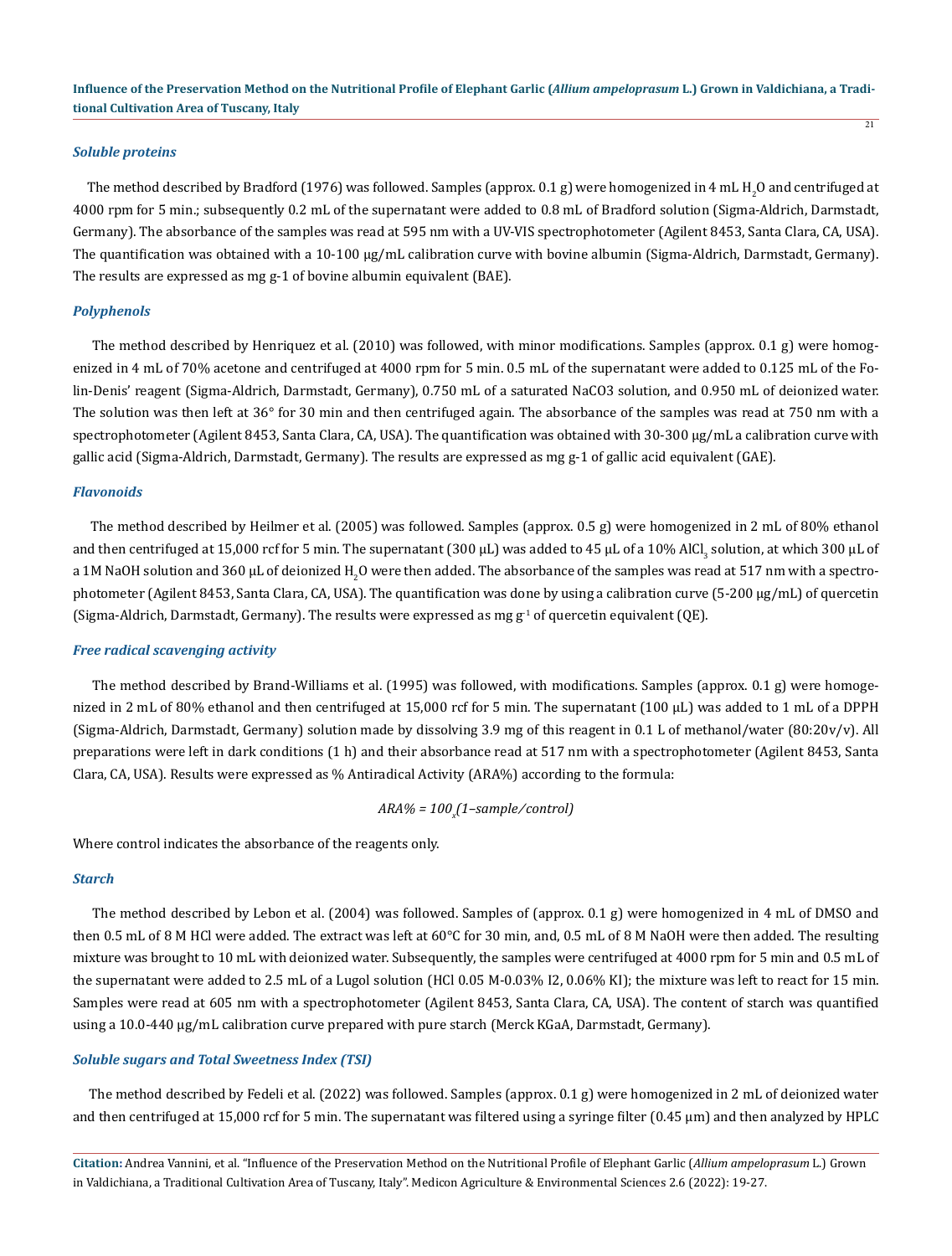#### *Soluble proteins*

The method described by Bradford (1976) was followed. Samples (approx. 0.1 g) were homogenized in 4 mL H $_2$ O and centrifuged at 4000 rpm for 5 min.; subsequently 0.2 mL of the supernatant were added to 0.8 mL of Bradford solution (Sigma-Aldrich, Darmstadt, Germany). The absorbance of the samples was read at 595 nm with a UV-VIS spectrophotometer (Agilent 8453, Santa Clara, CA, USA). The quantification was obtained with a 10-100 µg/mL calibration curve with bovine albumin (Sigma-Aldrich, Darmstadt, Germany). The results are expressed as mg g-1 of bovine albumin equivalent (BAE).

#### *Polyphenols*

 The method described by Henriquez et al. (2010) was followed, with minor modifications. Samples (approx. 0.1 g) were homogenized in 4 mL of 70% acetone and centrifuged at 4000 rpm for 5 min. 0.5 mL of the supernatant were added to 0.125 mL of the Folin-Denis' reagent (Sigma-Aldrich, Darmstadt, Germany), 0.750 mL of a saturated NaCO3 solution, and 0.950 mL of deionized water. The solution was then left at 36° for 30 min and then centrifuged again. The absorbance of the samples was read at 750 nm with a spectrophotometer (Agilent 8453, Santa Clara, CA, USA). The quantification was obtained with 30-300 µg/mL a calibration curve with gallic acid (Sigma-Aldrich, Darmstadt, Germany). The results are expressed as mg g-1 of gallic acid equivalent (GAE).

#### *Flavonoids*

 The method described by Heilmer et al. (2005) was followed. Samples (approx. 0.5 g) were homogenized in 2 mL of 80% ethanol and then centrifuged at 15,000 rcf for 5 min. The supernatant (300 µL) was added to 45 µL of a 10% AlCl $_3$  solution, at which 300 µL of a 1M NaOH solution and 360 µL of deionized H<sub>2</sub>O were then added. The absorbance of the samples was read at 517 nm with a spectrophotometer (Agilent 8453, Santa Clara, CA, USA). The quantification was done by using a calibration curve (5-200 µg/mL) of quercetin (Sigma-Aldrich, Darmstadt, Germany). The results were expressed as mg  $g<sup>1</sup>$  of quercetin equivalent (QE).

#### *Free radical scavenging activity*

 The method described by Brand-Williams et al. (1995) was followed, with modifications. Samples (approx. 0.1 g) were homogenized in 2 mL of 80% ethanol and then centrifuged at 15,000 rcf for 5 min. The supernatant (100 µL) was added to 1 mL of a DPPH (Sigma-Aldrich, Darmstadt, Germany) solution made by dissolving 3.9 mg of this reagent in 0.1 L of methanol/water (80:20v/v). All preparations were left in dark conditions (1 h) and their absorbance read at 517 nm with a spectrophotometer (Agilent 8453, Santa Clara, CA, USA). Results were expressed as % Antiradical Activity (ARA%) according to the formula:

*ARA% = 100x (1–sample ⁄ control)*

Where control indicates the absorbance of the reagents only.

#### *Starch*

 The method described by Lebon et al. (2004) was followed. Samples of (approx. 0.1 g) were homogenized in 4 mL of DMSO and then 0.5 mL of 8 M HCl were added. The extract was left at 60°C for 30 min, and, 0.5 mL of 8 M NaOH were then added. The resulting mixture was brought to 10 mL with deionized water. Subsequently, the samples were centrifuged at 4000 rpm for 5 min and 0.5 mL of the supernatant were added to 2.5 mL of a Lugol solution (HCl 0.05 M-0.03% I2, 0.06% KI); the mixture was left to react for 15 min. Samples were read at 605 nm with a spectrophotometer (Agilent 8453, Santa Clara, CA, USA). The content of starch was quantified using a 10.0-440 μg/mL calibration curve prepared with pure starch (Merck KGaA, Darmstadt, Germany).

#### *Soluble sugars and Total Sweetness Index (TSI)*

 The method described by Fedeli et al. (2022) was followed. Samples (approx. 0.1 g) were homogenized in 2 mL of deionized water and then centrifuged at 15,000 rcf for 5 min. The supernatant was filtered using a syringe filter  $(0.45 \mu m)$  and then analyzed by HPLC

**Citation:** Andrea Vannini, et al. "Influence of the Preservation Method on the Nutritional Profile of Elephant Garlic (*Allium ampeloprasum* L.) Grown in Valdichiana, a Traditional Cultivation Area of Tuscany, Italy". Medicon Agriculture & Environmental Sciences 2.6 (2022): 19-27.

 $\overline{21}$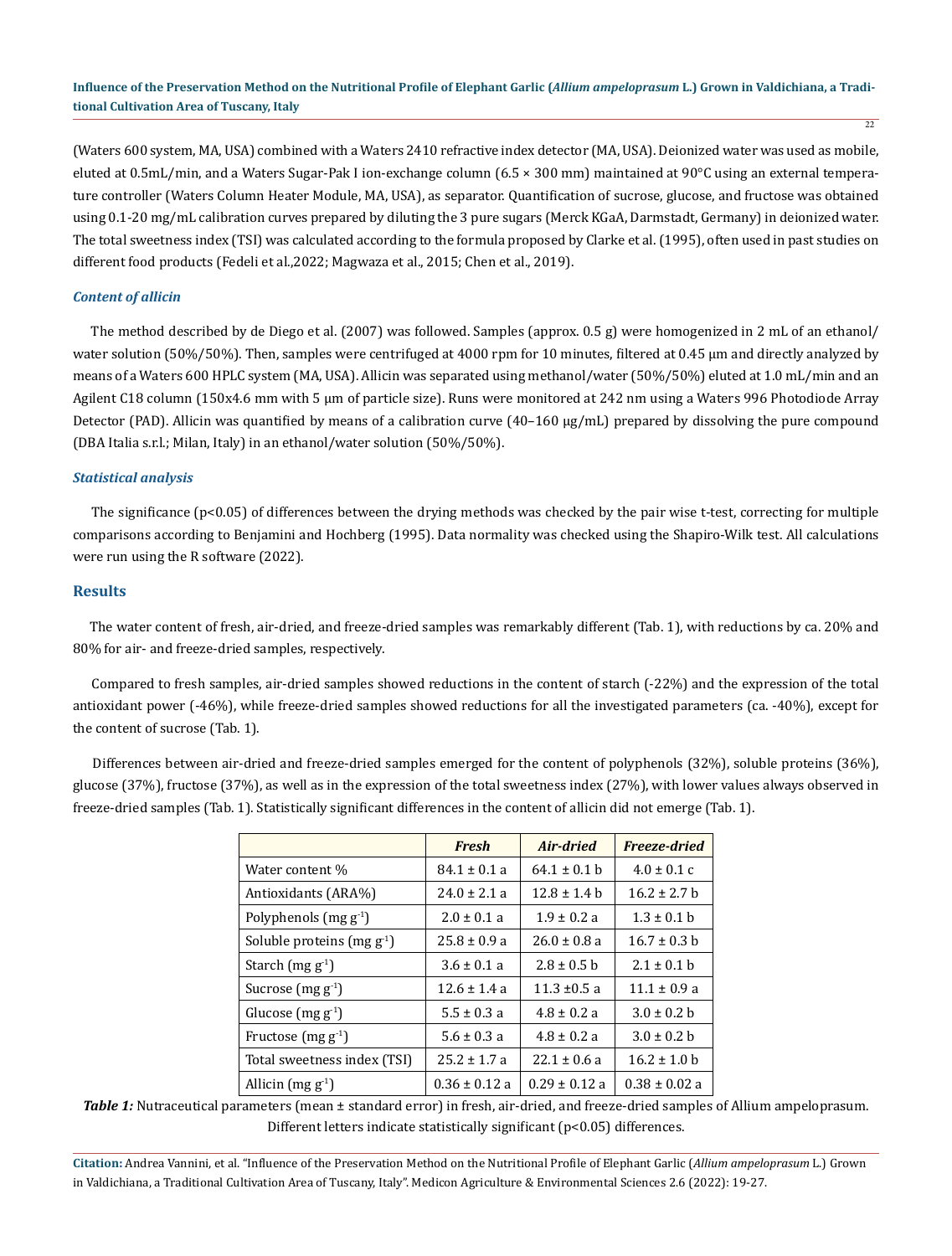$\overline{22}$ 

(Waters 600 system, MA, USA) combined with a Waters 2410 refractive index detector (MA, USA). Deionized water was used as mobile, eluted at 0.5mL/min, and a Waters Sugar-Pak I ion-exchange column (6.5 × 300 mm) maintained at 90°C using an external temperature controller (Waters Column Heater Module, MA, USA), as separator. Quantification of sucrose, glucose, and fructose was obtained using 0.1-20 mg/mL calibration curves prepared by diluting the 3 pure sugars (Merck KGaA, Darmstadt, Germany) in deionized water. The total sweetness index (TSI) was calculated according to the formula proposed by Clarke et al. (1995), often used in past studies on different food products (Fedeli et al.,2022; Magwaza et al., 2015; Chen et al., 2019).

#### *Content of allicin*

 The method described by de Diego et al. (2007) was followed. Samples (approx. 0.5 g) were homogenized in 2 mL of an ethanol/ water solution (50%/50%). Then, samples were centrifuged at 4000 rpm for 10 minutes, filtered at 0.45 µm and directly analyzed by means of a Waters 600 HPLC system (MA, USA). Allicin was separated using methanol/water (50%/50%) eluted at 1.0 mL/min and an Agilent C18 column (150x4.6 mm with 5 µm of particle size). Runs were monitored at 242 nm using a Waters 996 Photodiode Array Detector (PAD). Allicin was quantified by means of a calibration curve  $(40-160 \text{ µg/mL})$  prepared by dissolving the pure compound (DBA Italia s.r.l.; Milan, Italy) in an ethanol/water solution (50%/50%).

#### *Statistical analysis*

 The significance (p<0.05) of differences between the drying methods was checked by the pair wise t-test, correcting for multiple comparisons according to Benjamini and Hochberg (1995). Data normality was checked using the Shapiro-Wilk test. All calculations were run using the R software (2022).

#### **Results**

 The water content of fresh, air-dried, and freeze-dried samples was remarkably different (Tab. 1), with reductions by ca. 20% and 80% for air- and freeze-dried samples, respectively.

 Compared to fresh samples, air-dried samples showed reductions in the content of starch (-22%) and the expression of the total antioxidant power (-46%), while freeze-dried samples showed reductions for all the investigated parameters (ca. -40%), except for the content of sucrose (Tab. 1).

 Differences between air-dried and freeze-dried samples emerged for the content of polyphenols (32%), soluble proteins (36%), glucose (37%), fructose (37%), as well as in the expression of the total sweetness index (27%), with lower values always observed in freeze-dried samples (Tab. 1). Statistically significant differences in the content of allicin did not emerge (Tab. 1).

|                                   | <b>Fresh</b>      | Air-dried        | Freeze-dried      |
|-----------------------------------|-------------------|------------------|-------------------|
| Water content %                   | $84.1 \pm 0.1 a$  | $64.1 \pm 0.1$ h | $4.0 \pm 0.1$ c   |
| Antioxidants (ARA%)               | $24.0 \pm 2.1 a$  | $12.8 \pm 1.4 h$ | $16.2 \pm 2.7$ h  |
| Polyphenols (mg g <sup>-1</sup> ) | $2.0 \pm 0.1$ a   | $1.9 \pm 0.2 a$  | $1.3 \pm 0.1 h$   |
| Soluble proteins (mg $g^1$ )      | $25.8 + 0.9 a$    | $26.0 \pm 0.8$ a | $16.7 \pm 0.3$ b  |
| Starch $(mg g-1)$                 | $3.6 \pm 0.1 a$   | $2.8 \pm 0.5$ b  | $2.1 \pm 0.1$ b   |
| Sucrose $(mg g-1)$                | $12.6 \pm 1.4 a$  | $11.3 \pm 0.5 a$ | $11.1 \pm 0.9 a$  |
| Glucose $(mg g-1)$                | $5.5 \pm 0.3 a$   | $4.8 \pm 0.2 a$  | $3.0 \pm 0.2 h$   |
| Fructose (mg $g-1$ )              | $5.6 \pm 0.3 a$   | $4.8 \pm 0.2 a$  | $3.0 \pm 0.2 h$   |
| Total sweetness index (TSI)       | $25.2 \pm 1.7$ a  | $22.1 \pm 0.6$ a | $16.2 \pm 1.0$ b  |
| Allicin $(mg g-1)$                | $0.36 \pm 0.12$ a | $0.29 + 0.12a$   | $0.38 \pm 0.02$ a |

*Table 1:* Nutraceutical parameters (mean ± standard error) in fresh, air-dried, and freeze-dried samples of Allium ampeloprasum. Different letters indicate statistically significant (p<0.05) differences.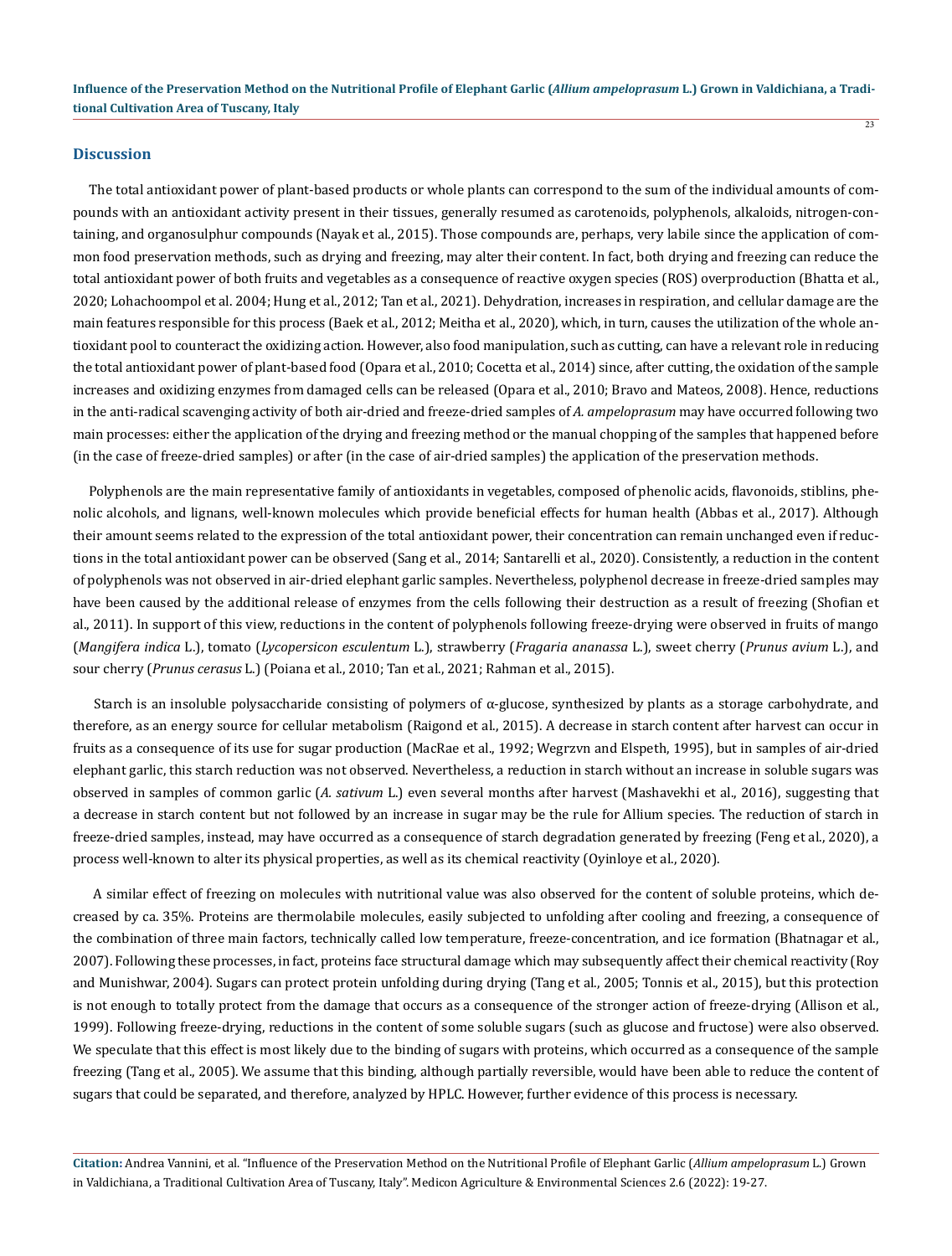#### **Discussion**

 The total antioxidant power of plant-based products or whole plants can correspond to the sum of the individual amounts of compounds with an antioxidant activity present in their tissues, generally resumed as carotenoids, polyphenols, alkaloids, nitrogen-containing, and organosulphur compounds (Nayak et al., 2015). Those compounds are, perhaps, very labile since the application of common food preservation methods, such as drying and freezing, may alter their content. In fact, both drying and freezing can reduce the total antioxidant power of both fruits and vegetables as a consequence of reactive oxygen species (ROS) overproduction (Bhatta et al., 2020; Lohachoompol et al. 2004; Hung et al., 2012; Tan et al., 2021). Dehydration, increases in respiration, and cellular damage are the main features responsible for this process (Baek et al., 2012; Meitha et al., 2020), which, in turn, causes the utilization of the whole antioxidant pool to counteract the oxidizing action. However, also food manipulation, such as cutting, can have a relevant role in reducing the total antioxidant power of plant-based food (Opara et al., 2010; Cocetta et al., 2014) since, after cutting, the oxidation of the sample increases and oxidizing enzymes from damaged cells can be released (Opara et al., 2010; Bravo and Mateos, 2008). Hence, reductions in the anti-radical scavenging activity of both air-dried and freeze-dried samples of *A. ampeloprasum* may have occurred following two main processes: either the application of the drying and freezing method or the manual chopping of the samples that happened before (in the case of freeze-dried samples) or after (in the case of air-dried samples) the application of the preservation methods.

 Polyphenols are the main representative family of antioxidants in vegetables, composed of phenolic acids, flavonoids, stiblins, phenolic alcohols, and lignans, well-known molecules which provide beneficial effects for human health (Abbas et al., 2017). Although their amount seems related to the expression of the total antioxidant power, their concentration can remain unchanged even if reductions in the total antioxidant power can be observed (Sang et al., 2014; Santarelli et al., 2020). Consistently, a reduction in the content of polyphenols was not observed in air-dried elephant garlic samples. Nevertheless, polyphenol decrease in freeze-dried samples may have been caused by the additional release of enzymes from the cells following their destruction as a result of freezing (Shofian et al., 2011). In support of this view, reductions in the content of polyphenols following freeze-drying were observed in fruits of mango (*Mangifera indica* L.), tomato (*Lycopersicon esculentum* L.), strawberry (*Fragaria ananassa* L.), sweet cherry (*Prunus avium* L.), and sour cherry (*Prunus cerasus* L.) (Poiana et al., 2010; Tan et al., 2021; Rahman et al., 2015).

 Starch is an insoluble polysaccharide consisting of polymers of α-glucose, synthesized by plants as a storage carbohydrate, and therefore, as an energy source for cellular metabolism (Raigond et al., 2015). A decrease in starch content after harvest can occur in fruits as a consequence of its use for sugar production (MacRae et al., 1992; Wegrzvn and Elspeth, 1995), but in samples of air-dried elephant garlic, this starch reduction was not observed. Nevertheless, a reduction in starch without an increase in soluble sugars was observed in samples of common garlic (*A. sativum* L.) even several months after harvest (Mashavekhi et al., 2016), suggesting that a decrease in starch content but not followed by an increase in sugar may be the rule for Allium species. The reduction of starch in freeze-dried samples, instead, may have occurred as a consequence of starch degradation generated by freezing (Feng et al., 2020), a process well-known to alter its physical properties, as well as its chemical reactivity (Oyinloye et al., 2020).

 A similar effect of freezing on molecules with nutritional value was also observed for the content of soluble proteins, which decreased by ca. 35%. Proteins are thermolabile molecules, easily subjected to unfolding after cooling and freezing, a consequence of the combination of three main factors, technically called low temperature, freeze-concentration, and ice formation (Bhatnagar et al., 2007). Following these processes, in fact, proteins face structural damage which may subsequently affect their chemical reactivity (Roy and Munishwar, 2004). Sugars can protect protein unfolding during drying (Tang et al., 2005; Tonnis et al., 2015), but this protection is not enough to totally protect from the damage that occurs as a consequence of the stronger action of freeze-drying (Allison et al., 1999). Following freeze-drying, reductions in the content of some soluble sugars (such as glucose and fructose) were also observed. We speculate that this effect is most likely due to the binding of sugars with proteins, which occurred as a consequence of the sample freezing (Tang et al., 2005). We assume that this binding, although partially reversible, would have been able to reduce the content of sugars that could be separated, and therefore, analyzed by HPLC. However, further evidence of this process is necessary.

**Citation:** Andrea Vannini, et al. "Influence of the Preservation Method on the Nutritional Profile of Elephant Garlic (*Allium ampeloprasum* L.) Grown in Valdichiana, a Traditional Cultivation Area of Tuscany, Italy". Medicon Agriculture & Environmental Sciences 2.6 (2022): 19-27.

 $\overline{23}$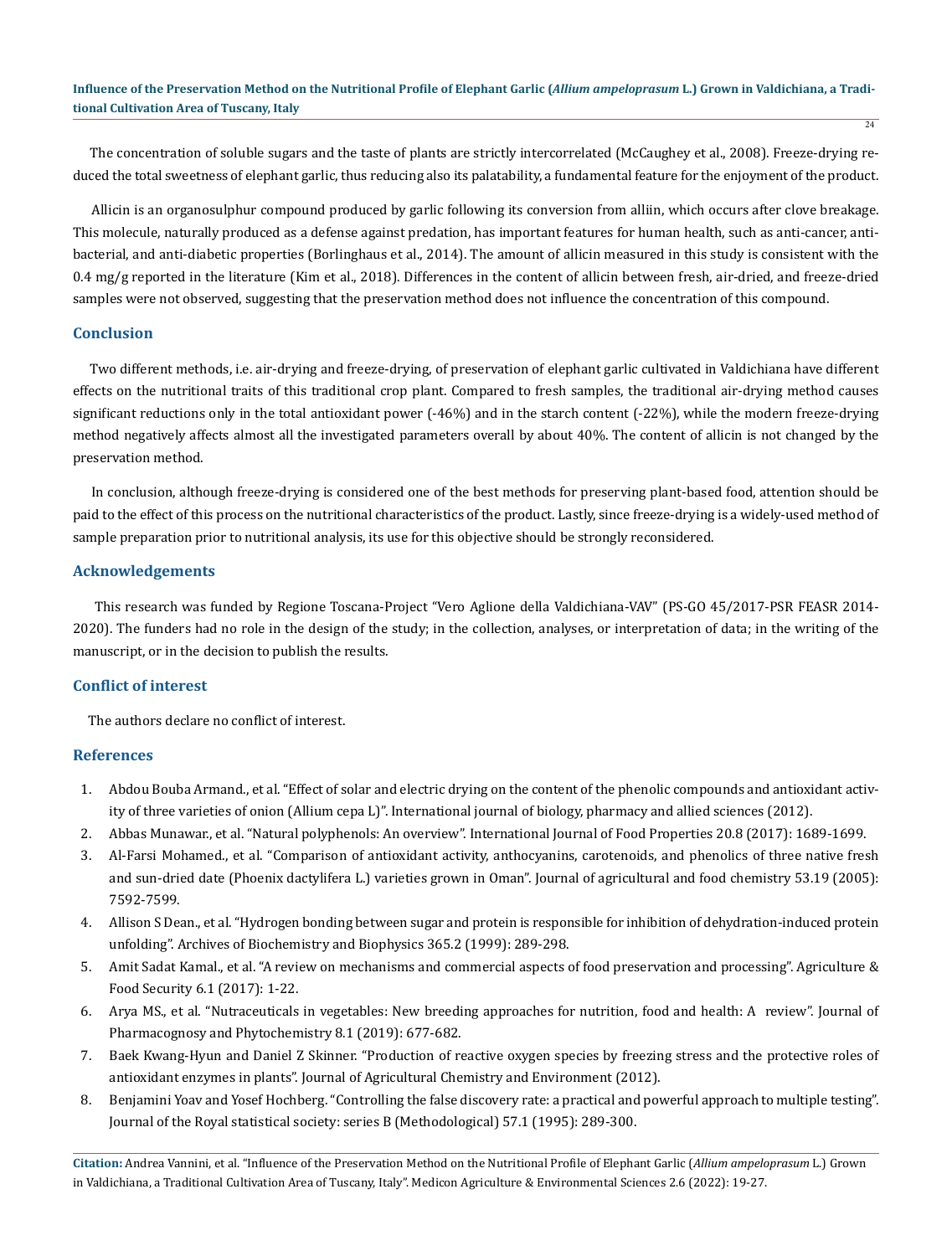The concentration of soluble sugars and the taste of plants are strictly intercorrelated (McCaughey et al., 2008). Freeze-drying reduced the total sweetness of elephant garlic, thus reducing also its palatability, a fundamental feature for the enjoyment of the product.

 Allicin is an organosulphur compound produced by garlic following its conversion from alliin, which occurs after clove breakage. This molecule, naturally produced as a defense against predation, has important features for human health, such as anti-cancer, antibacterial, and anti-diabetic properties (Borlinghaus et al., 2014). The amount of allicin measured in this study is consistent with the 0.4 mg/g reported in the literature (Kim et al., 2018). Differences in the content of allicin between fresh, air-dried, and freeze-dried samples were not observed, suggesting that the preservation method does not influence the concentration of this compound.

# **Conclusion**

 Two different methods, i.e. air-drying and freeze-drying, of preservation of elephant garlic cultivated in Valdichiana have different effects on the nutritional traits of this traditional crop plant. Compared to fresh samples, the traditional air-drying method causes significant reductions only in the total antioxidant power (-46%) and in the starch content (-22%), while the modern freeze-drying method negatively affects almost all the investigated parameters overall by about 40%. The content of allicin is not changed by the preservation method.

 In conclusion, although freeze-drying is considered one of the best methods for preserving plant-based food, attention should be paid to the effect of this process on the nutritional characteristics of the product. Lastly, since freeze-drying is a widely-used method of sample preparation prior to nutritional analysis, its use for this objective should be strongly reconsidered.

### **Acknowledgements**

 This research was funded by Regione Toscana-Project "Vero Aglione della Valdichiana-VAV" (PS-GO 45/2017-PSR FEASR 2014- 2020). The funders had no role in the design of the study; in the collection, analyses, or interpretation of data; in the writing of the manuscript, or in the decision to publish the results.

# **Conflict of interest**

The authors declare no conflict of interest.

# **References**

- 1. Abdou Bouba Armand., et al. "Effect of solar and electric drying on the content of the phenolic compounds and antioxidant activity of three varieties of onion (Allium cepa L)". International journal of biology, pharmacy and allied sciences (2012).
- 2. Abbas Munawar., et al. "Natural polyphenols: An overview". International Journal of Food Properties 20.8 (2017): 1689-1699.
- 3. [Al-Farsi Mohamed., et al. "Comparison of antioxidant activity, anthocyanins, carotenoids, and phenolics of three native fresh](https://pubmed.ncbi.nlm.nih.gov/16159191/) [and sun-dried date \(Phoenix dactylifera L.\) varieties grown in Oman". Journal of agricultural and food chemistry 53.19 \(2005\):](https://pubmed.ncbi.nlm.nih.gov/16159191/) [7592-7599.](https://pubmed.ncbi.nlm.nih.gov/16159191/)
- 4. [Allison S Dean., et al. "Hydrogen bonding between sugar and protein is responsible for inhibition of dehydration-induced protein](https://pubmed.ncbi.nlm.nih.gov/10328824/) [unfolding". Archives of Biochemistry and Biophysics 365.2 \(1999\): 289-298.](https://pubmed.ncbi.nlm.nih.gov/10328824/)
- 5. Amit Sadat Kamal., et al. "A review on mechanisms and commercial aspects of food preservation and processing". Agriculture & Food Security 6.1 (2017): 1-22.
- 6. Arya MS., et al. "Nutraceuticals in vegetables: New breeding approaches for nutrition, food and health: A review". Journal of Pharmacognosy and Phytochemistry 8.1 (2019): 677-682.
- 7. Baek Kwang-Hyun and Daniel Z Skinner. "Production of reactive oxygen species by freezing stress and the protective roles of antioxidant enzymes in plants". Journal of Agricultural Chemistry and Environment (2012).
- 8. Benjamini Yoav and Yosef Hochberg. "Controlling the false discovery rate: a practical and powerful approach to multiple testing". Journal of the Royal statistical society: series B (Methodological) 57.1 (1995): 289-300.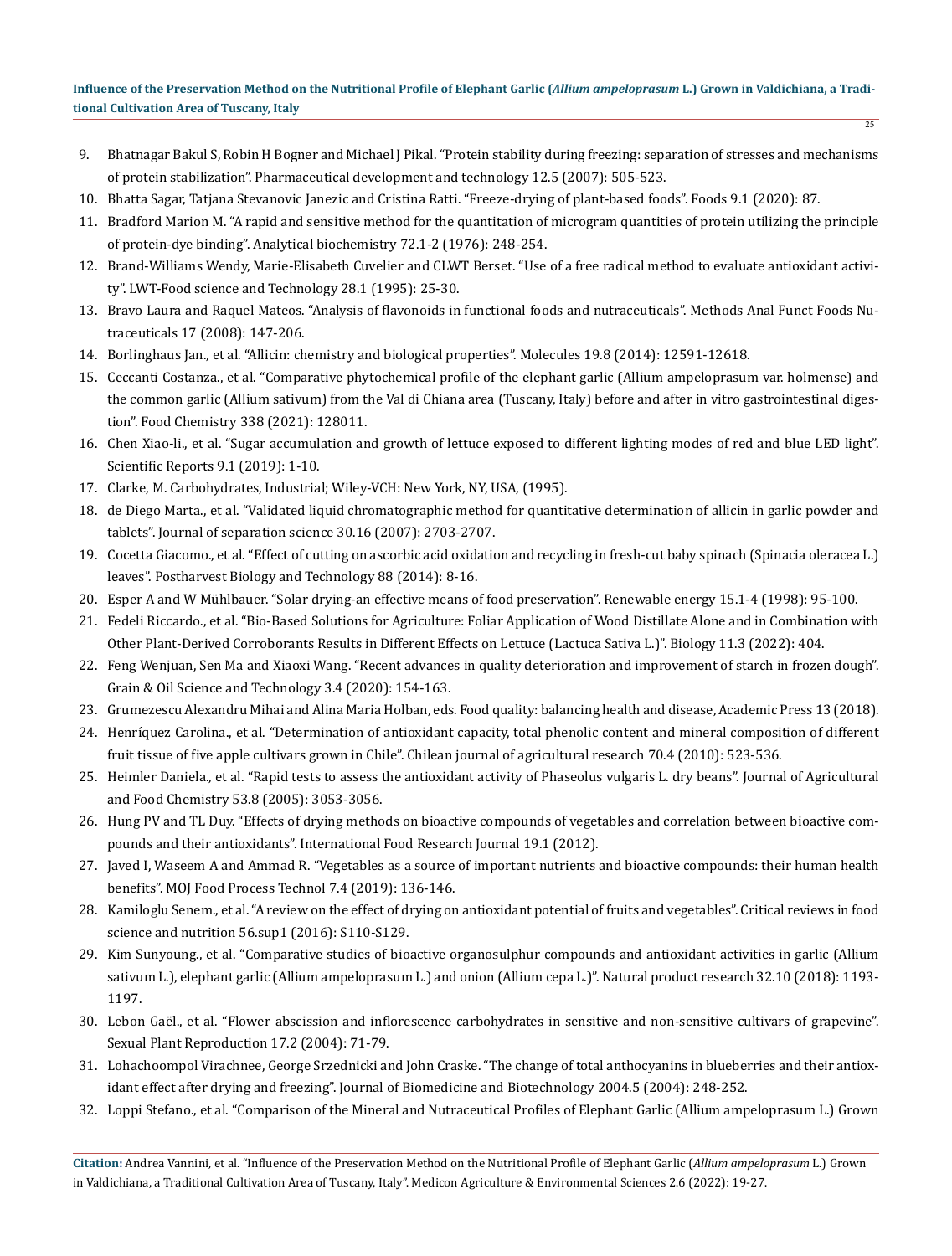- 9. [Bhatnagar Bakul S, Robin H Bogner and Michael J Pikal. "Protein stability during freezing: separation of stresses and mechanisms](https://pubmed.ncbi.nlm.nih.gov/17963151/) [of protein stabilization". Pharmaceutical development and technology 12.5 \(2007\): 505-523.](https://pubmed.ncbi.nlm.nih.gov/17963151/)
- 10. [Bhatta Sagar, Tatjana Stevanovic Janezic and Cristina Ratti. "Freeze-drying of plant-based foods". Foods 9.1 \(2020\): 87.](https://pubmed.ncbi.nlm.nih.gov/31941082/)
- 11. [Bradford Marion M. "A rapid and sensitive method for the quantitation of microgram quantities of protein utilizing the principle](https://pubmed.ncbi.nlm.nih.gov/942051/) [of protein-dye binding". Analytical biochemistry 72.1-2 \(1976\): 248-254.](https://pubmed.ncbi.nlm.nih.gov/942051/)
- 12. Brand-Williams Wendy, Marie-Elisabeth Cuvelier and CLWT Berset. "Use of a free radical method to evaluate antioxidant activity". LWT-Food science and Technology 28.1 (1995): 25-30.
- 13. Bravo Laura and Raquel Mateos. "Analysis of flavonoids in functional foods and nutraceuticals". Methods Anal Funct Foods Nutraceuticals 17 (2008): 147-206.
- 14. [Borlinghaus Jan., et al. "Allicin: chemistry and biological properties". Molecules 19.8 \(2014\): 12591-12618.](https://pubmed.ncbi.nlm.nih.gov/25153873)
- 15. [Ceccanti Costanza., et al. "Comparative phytochemical profile of the elephant garlic \(Allium ampeloprasum var. holmense\) and](https://pubmed.ncbi.nlm.nih.gov/32950006/) [the common garlic \(Allium sativum\) from the Val di Chiana area \(Tuscany, Italy\) before and after in vitro gastrointestinal diges](https://pubmed.ncbi.nlm.nih.gov/32950006/)[tion". Food Chemistry 338 \(2021\): 128011.](https://pubmed.ncbi.nlm.nih.gov/32950006/)
- 16. Chen Xiao-li., et al. "Sugar accumulation and growth of lettuce exposed to different lighting modes of red and blue LED light". Scientific Reports 9.1 (2019): 1-10.
- 17. Clarke, M. Carbohydrates, Industrial; Wiley-VCH: New York, NY, USA, (1995).
- 18. [de Diego Marta., et al. "Validated liquid chromatographic method for quantitative determination of allicin in garlic powder and](file:///C:/Users/medic/Downloads/New%20folder%20(4)/MCAES-22-RA-059/Proof/Validated%20liquid%20chromatographic%20method%20for%20quantitative%20determination%20of%20allicin%20in%20garlic%20powder%20and%20tablets) [tablets". Journal of separation science 30.16 \(2007\): 2703-2707.](file:///C:/Users/medic/Downloads/New%20folder%20(4)/MCAES-22-RA-059/Proof/Validated%20liquid%20chromatographic%20method%20for%20quantitative%20determination%20of%20allicin%20in%20garlic%20powder%20and%20tablets)
- 19. Cocetta Giacomo., et al. "Effect of cutting on ascorbic acid oxidation and recycling in fresh-cut baby spinach (Spinacia oleracea L.) leaves". Postharvest Biology and Technology 88 (2014): 8-16.
- 20. Esper A and W Mühlbauer. "Solar drying-an effective means of food preservation". Renewable energy 15.1-4 (1998): 95-100.
- 21. [Fedeli Riccardo., et al. "Bio-Based Solutions for Agriculture: Foliar Application of Wood Distillate Alone and in Combination with](https://pubmed.ncbi.nlm.nih.gov/35336778/) [Other Plant-Derived Corroborants Results in Different Effects on Lettuce \(Lactuca Sativa L.\)". Biology 11.3 \(2022\): 404.](https://pubmed.ncbi.nlm.nih.gov/35336778/)
- 22. Feng Wenjuan, Sen Ma and Xiaoxi Wang. "Recent advances in quality deterioration and improvement of starch in frozen dough". Grain & Oil Science and Technology 3.4 (2020): 154-163.
- 23. Grumezescu Alexandru Mihai and Alina Maria Holban, eds. Food quality: balancing health and disease, Academic Press 13 (2018).
- 24. Henríquez Carolina., et al. "Determination of antioxidant capacity, total phenolic content and mineral composition of different fruit tissue of five apple cultivars grown in Chile". Chilean journal of agricultural research 70.4 (2010): 523-536.
- 25. [Heimler Daniela., et al. "Rapid tests to assess the antioxidant activity of Phaseolus vulgaris L. dry beans". Journal of Agricultural](https://pubmed.ncbi.nlm.nih.gov/15826058/) [and Food Chemistry 53.8 \(2005\): 3053-3056.](https://pubmed.ncbi.nlm.nih.gov/15826058/)
- 26. Hung PV and TL Duy. "Effects of drying methods on bioactive compounds of vegetables and correlation between bioactive compounds and their antioxidants". International Food Research Journal 19.1 (2012).
- 27. Javed I, Waseem A and Ammad R. "Vegetables as a source of important nutrients and bioactive compounds: their human health benefits". MOJ Food Process Technol 7.4 (2019): 136-146.
- 28. [Kamiloglu Senem., et al. "A review on the effect of drying on antioxidant potential of fruits and vegetables". Critical reviews in food](https://pubmed.ncbi.nlm.nih.gov/26191781/) [science and nutrition 56.sup1 \(2016\): S110-S129.](https://pubmed.ncbi.nlm.nih.gov/26191781/)
- 29. [Kim Sunyoung., et al. "Comparative studies of bioactive organosulphur compounds and antioxidant activities in garlic \(Allium](https://pubmed.ncbi.nlm.nih.gov/28475377/) [sativum L.\), elephant garlic \(Allium ampeloprasum L.\) and onion \(Allium cepa L.\)". Natural product research 32.10 \(2018\): 1193-](https://pubmed.ncbi.nlm.nih.gov/28475377/) [1197.](https://pubmed.ncbi.nlm.nih.gov/28475377/)
- 30. Lebon Gaël., et al. "Flower abscission and inflorescence carbohydrates in sensitive and non-sensitive cultivars of grapevine". Sexual Plant Reproduction 17.2 (2004): 71-79.
- 31. [Lohachoompol Virachnee, George Srzednicki and John Craske. "The change of total anthocyanins in blueberries and their antiox](https://pubmed.ncbi.nlm.nih.gov/15577185/)[idant effect after drying and freezing". Journal of Biomedicine and Biotechnology 2004.5 \(2004\): 248-252.](https://pubmed.ncbi.nlm.nih.gov/15577185/)
- 32. [Loppi Stefano., et al. "Comparison of the Mineral and Nutraceutical Profiles of Elephant Garlic \(Allium ampeloprasum L.\) Grown](https://pubmed.ncbi.nlm.nih.gov/34681159/)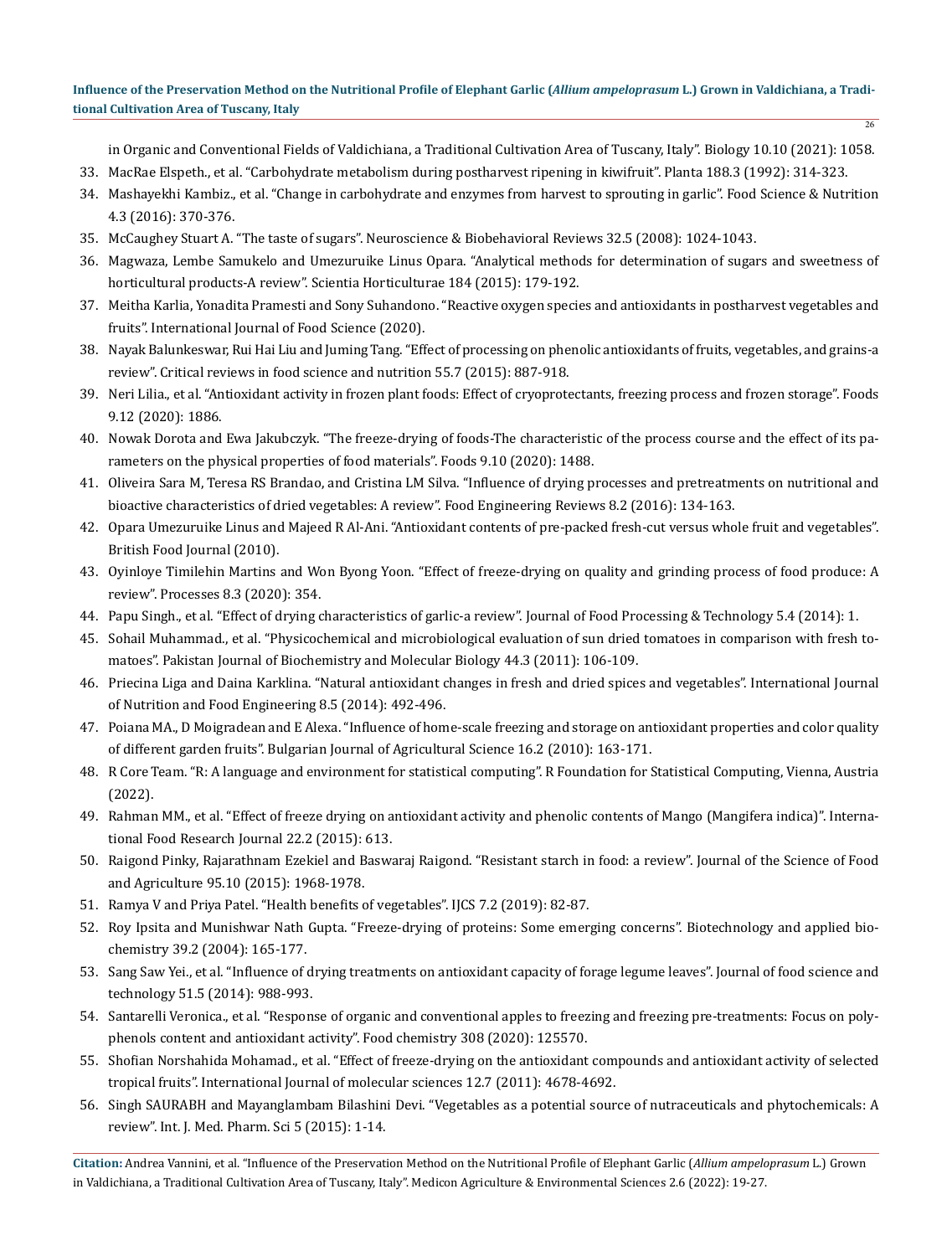[in Organic and Conventional Fields of Valdichiana, a Traditional Cultivation Area of Tuscany, Italy". Biology 10.10 \(2021\): 1058.](https://pubmed.ncbi.nlm.nih.gov/34681159/)

 $\frac{1}{26}$ 

- 33. [MacRae Elspeth., et al. "Carbohydrate metabolism during postharvest ripening in kiwifruit". Planta 188.3 \(1992\): 314-323.](https://pubmed.ncbi.nlm.nih.gov/24178320/)
- 34. [Mashayekhi Kambiz., et al. "Change in carbohydrate and enzymes from harvest to sprouting in garlic". Food Science & Nutrition](https://pubmed.ncbi.nlm.nih.gov/27247767/) [4.3 \(2016\): 370-376.](https://pubmed.ncbi.nlm.nih.gov/27247767/)
- 35. McCaughey Stuart A. "The taste of sugars". Neuroscience & Biobehavioral Reviews 32.5 (2008): 1024-1043.
- 36. Magwaza, Lembe Samukelo and Umezuruike Linus Opara. "Analytical methods for determination of sugars and sweetness of horticultural products-A review". Scientia Horticulturae 184 (2015): 179-192.
- 37. Meitha Karlia, Yonadita Pramesti and Sony Suhandono. "Reactive oxygen species and antioxidants in postharvest vegetables and fruits". International Journal of Food Science (2020).
- 38. [Nayak Balunkeswar, Rui Hai Liu and Juming Tang. "Effect of processing on phenolic antioxidants of fruits, vegetables, and grains-a](https://pubmed.ncbi.nlm.nih.gov/24915381/) [review". Critical reviews in food science and nutrition 55.7 \(2015\): 887-918.](https://pubmed.ncbi.nlm.nih.gov/24915381/)
- 39. [Neri Lilia., et al. "Antioxidant activity in frozen plant foods: Effect of cryoprotectants, freezing process and frozen storage". Foods](https://pubmed.ncbi.nlm.nih.gov/33348739/) [9.12 \(2020\): 1886.](https://pubmed.ncbi.nlm.nih.gov/33348739/)
- 40. [Nowak Dorota and Ewa Jakubczyk. "The freeze-drying of foods-The characteristic of the process course and the effect of its pa](https://pubmed.ncbi.nlm.nih.gov/33080983/)[rameters on the physical properties of food materials". Foods 9.10 \(2020\): 1488.](https://pubmed.ncbi.nlm.nih.gov/33080983/)
- 41. Oliveira Sara M, Teresa RS Brandao, and Cristina LM Silva. "Influence of drying processes and pretreatments on nutritional and bioactive characteristics of dried vegetables: A review". Food Engineering Reviews 8.2 (2016): 134-163.
- 42. Opara Umezuruike Linus and Majeed R Al‐Ani. "Antioxidant contents of pre‐packed fresh‐cut versus whole fruit and vegetables". British Food Journal (2010).
- 43. Oyinloye Timilehin Martins and Won Byong Yoon. "Effect of freeze-drying on quality and grinding process of food produce: A review". Processes 8.3 (2020): 354.
- 44. Papu Singh., et al. "Effect of drying characteristics of garlic-a review". Journal of Food Processing & Technology 5.4 (2014): 1.
- 45. Sohail Muhammad., et al. "Physicochemical and microbiological evaluation of sun dried tomatoes in comparison with fresh tomatoes". Pakistan Journal of Biochemistry and Molecular Biology 44.3 (2011): 106-109.
- 46. Priecina Liga and Daina Karklina. "Natural antioxidant changes in fresh and dried spices and vegetables". International Journal of Nutrition and Food Engineering 8.5 (2014): 492-496.
- 47. Poiana MA., D Moigradean and E Alexa. "Influence of home-scale freezing and storage on antioxidant properties and color quality of different garden fruits". Bulgarian Journal of Agricultural Science 16.2 (2010): 163-171.
- 48. R Core Team. "R: A language and environment for statistical computing". R Foundation for Statistical Computing, Vienna, Austria (2022).
- 49. Rahman MM., et al. "Effect of freeze drying on antioxidant activity and phenolic contents of Mango (Mangifera indica)". International Food Research Journal 22.2 (2015): 613.
- 50. [Raigond Pinky, Rajarathnam Ezekiel and Baswaraj Raigond. "Resistant starch in food: a review". Journal of the Science of Food](https://pubmed.ncbi.nlm.nih.gov/25331334/) [and Agriculture 95.10 \(2015\): 1968-1978.](https://pubmed.ncbi.nlm.nih.gov/25331334/)
- 51. Ramya V and Priya Patel. "Health benefits of vegetables". IJCS 7.2 (2019): 82-87.
- 52. [Roy Ipsita and Munishwar Nath Gupta. "Freeze‐drying of proteins: Some emerging concerns". Biotechnology and applied bio](https://pubmed.ncbi.nlm.nih.gov/15032737/)[chemistry 39.2 \(2004\): 165-177.](https://pubmed.ncbi.nlm.nih.gov/15032737/)
- 53. [Sang Saw Yei., et al. "Influence of drying treatments on antioxidant capacity of forage legume leaves". Journal of food science and](https://pubmed.ncbi.nlm.nih.gov/24803709/) [technology 51.5 \(2014\): 988-993.](https://pubmed.ncbi.nlm.nih.gov/24803709/)
- 54. Santarelli Veronica., et al. "Response of organic and conventional apples to freezing and freezing pre-treatments: Focus on polyphenols content and antioxidant activity". Food chemistry 308 (2020): 125570.
- 55. [Shofian Norshahida Mohamad., et al. "Effect of freeze-drying on the antioxidant compounds and antioxidant activity of selected](https://pubmed.ncbi.nlm.nih.gov/21845104/) [tropical fruits". International Journal of molecular sciences 12.7 \(2011\): 4678-4692.](https://pubmed.ncbi.nlm.nih.gov/21845104/)
- 56. Singh SAURABH and Mayanglambam Bilashini Devi. "Vegetables as a potential source of nutraceuticals and phytochemicals: A review". Int. J. Med. Pharm. Sci 5 (2015): 1-14.